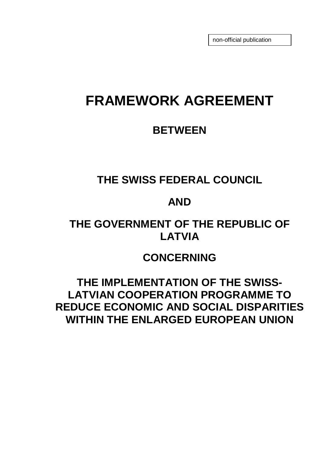non-official publication

# **FRAMEWORK AGREEMENT**

## **BETWEEN**

# **THE SWISS FEDERAL COUNCIL**

### **AND**

# **THE GOVERNMENT OF THE REPUBLIC OF LATVIA**

# **CONCERNING**

**THE IMPLEMENTATION OF THE SWISS-LATVIAN COOPERATION PROGRAMME TO REDUCE ECONOMIC AND SOCIAL DISPARITIES WITHIN THE ENLARGED EUROPEAN UNION**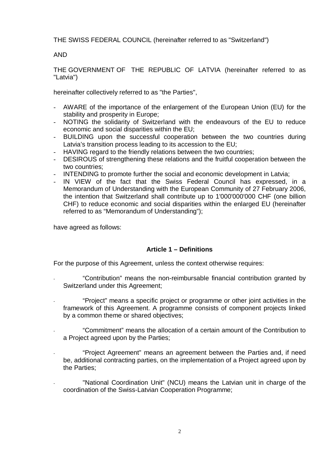THE SWISS FEDERAL COUNCIL (hereinafter referred to as "Switzerland")

#### AND

THE GOVERNMENT OF THE REPUBLIC OF LATVIA (hereinafter referred to as "Latvia")

hereinafter collectively referred to as "the Parties",

- AWARE of the importance of the enlargement of the European Union (EU) for the stability and prosperity in Europe;
- NOTING the solidarity of Switzerland with the endeavours of the EU to reduce economic and social disparities within the EU;
- BUILDING upon the successful cooperation between the two countries during Latvia's transition process leading to its accession to the EU;
- HAVING regard to the friendly relations between the two countries;
- DESIROUS of strengthening these relations and the fruitful cooperation between the two countries;
- INTENDING to promote further the social and economic development in Latvia;
- IN VIEW of the fact that the Swiss Federal Council has expressed, in a Memorandum of Understanding with the European Community of 27 February 2006, the intention that Switzerland shall contribute up to 1'000'000'000 CHF (one billion CHF) to reduce economic and social disparities within the enlarged EU (hereinafter referred to as "Memorandum of Understanding");

have agreed as follows:

#### **Article 1 – Definitions**

For the purpose of this Agreement, unless the context otherwise requires:

- "Contribution" means the non-reimbursable financial contribution granted by Switzerland under this Agreement;
- "Project" means a specific project or programme or other joint activities in the framework of this Agreement. A programme consists of component projects linked by a common theme or shared objectives;
- "Commitment" means the allocation of a certain amount of the Contribution to a Project agreed upon by the Parties;
- "Project Agreement" means an agreement between the Parties and, if need be, additional contracting parties, on the implementation of a Project agreed upon by the Parties;
- "National Coordination Unit" (NCU) means the Latvian unit in charge of the coordination of the Swiss-Latvian Cooperation Programme;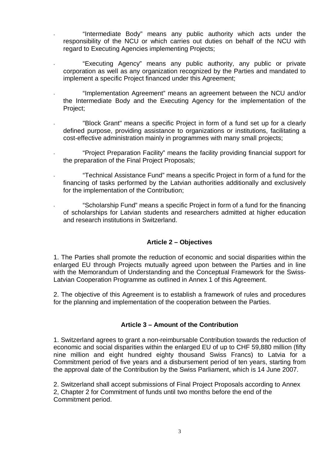- "Intermediate Body" means any public authority which acts under the responsibility of the NCU or which carries out duties on behalf of the NCU with regard to Executing Agencies implementing Projects;
- "Executing Agency" means any public authority, any public or private corporation as well as any organization recognized by the Parties and mandated to implement a specific Project financed under this Agreement;
- "Implementation Agreement" means an agreement between the NCU and/or the Intermediate Body and the Executing Agency for the implementation of the Project;
- "Block Grant" means a specific Project in form of a fund set up for a clearly defined purpose, providing assistance to organizations or institutions, facilitating a cost-effective administration mainly in programmes with many small projects;
- "Project Preparation Facility" means the facility providing financial support for the preparation of the Final Project Proposals;
- "Technical Assistance Fund" means a specific Project in form of a fund for the financing of tasks performed by the Latvian authorities additionally and exclusively for the implementation of the Contribution;
- "Scholarship Fund" means a specific Project in form of a fund for the financing of scholarships for Latvian students and researchers admitted at higher education and research institutions in Switzerland.

#### **Article 2 – Objectives**

1. The Parties shall promote the reduction of economic and social disparities within the enlarged EU through Projects mutually agreed upon between the Parties and in line with the Memorandum of Understanding and the Conceptual Framework for the Swiss-Latvian Cooperation Programme as outlined in Annex 1 of this Agreement.

2. The objective of this Agreement is to establish a framework of rules and procedures for the planning and implementation of the cooperation between the Parties.

#### **Article 3 – Amount of the Contribution**

1. Switzerland agrees to grant a non-reimbursable Contribution towards the reduction of economic and social disparities within the enlarged EU of up to CHF 59,880 million (fifty nine million and eight hundred eighty thousand Swiss Francs) to Latvia for a Commitment period of five years and a disbursement period of ten years, starting from the approval date of the Contribution by the Swiss Parliament, which is 14 June 2007.

2. Switzerland shall accept submissions of Final Project Proposals according to Annex 2, Chapter 2 for Commitment of funds until two months before the end of the Commitment period.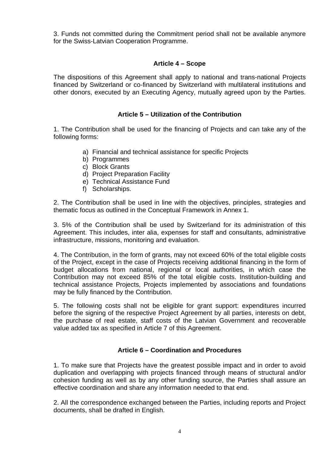3. Funds not committed during the Commitment period shall not be available anymore for the Swiss-Latvian Cooperation Programme.

#### **Article 4 – Scope**

The dispositions of this Agreement shall apply to national and trans-national Projects financed by Switzerland or co-financed by Switzerland with multilateral institutions and other donors, executed by an Executing Agency, mutually agreed upon by the Parties.

#### **Article 5 – Utilization of the Contribution**

1. The Contribution shall be used for the financing of Projects and can take any of the following forms:

- a) Financial and technical assistance for specific Projects
- b) Programmes
- c) Block Grants
- d) Project Preparation Facility
- e) Technical Assistance Fund
- f) Scholarships.

2. The Contribution shall be used in line with the objectives, principles, strategies and thematic focus as outlined in the Conceptual Framework in Annex 1.

3. 5% of the Contribution shall be used by Switzerland for its administration of this Agreement. This includes, inter alia, expenses for staff and consultants, administrative infrastructure, missions, monitoring and evaluation.

4. The Contribution, in the form of grants, may not exceed 60% of the total eligible costs of the Project, except in the case of Projects receiving additional financing in the form of budget allocations from national, regional or local authorities, in which case the Contribution may not exceed 85% of the total eligible costs. Institution-building and technical assistance Projects, Projects implemented by associations and foundations may be fully financed by the Contribution.

5. The following costs shall not be eligible for grant support: expenditures incurred before the signing of the respective Project Agreement by all parties, interests on debt, the purchase of real estate, staff costs of the Latvian Government and recoverable value added tax as specified in Article 7 of this Agreement.

#### **Article 6 – Coordination and Procedures**

1. To make sure that Projects have the greatest possible impact and in order to avoid duplication and overlapping with projects financed through means of structural and/or cohesion funding as well as by any other funding source, the Parties shall assure an effective coordination and share any information needed to that end.

2. All the correspondence exchanged between the Parties, including reports and Project documents, shall be drafted in English.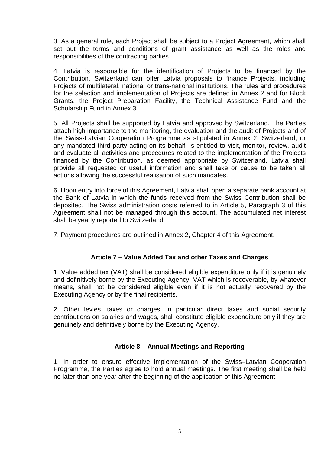3. As a general rule, each Project shall be subject to a Project Agreement, which shall set out the terms and conditions of grant assistance as well as the roles and responsibilities of the contracting parties.

4. Latvia is responsible for the identification of Projects to be financed by the Contribution. Switzerland can offer Latvia proposals to finance Projects, including Projects of multilateral, national or trans-national institutions. The rules and procedures for the selection and implementation of Projects are defined in Annex 2 and for Block Grants, the Project Preparation Facility, the Technical Assistance Fund and the Scholarship Fund in Annex 3.

5. All Projects shall be supported by Latvia and approved by Switzerland. The Parties attach high importance to the monitoring, the evaluation and the audit of Projects and of the Swiss-Latvian Cooperation Programme as stipulated in Annex 2. Switzerland, or any mandated third party acting on its behalf, is entitled to visit, monitor, review, audit and evaluate all activities and procedures related to the implementation of the Projects financed by the Contribution, as deemed appropriate by Switzerland. Latvia shall provide all requested or useful information and shall take or cause to be taken all actions allowing the successful realisation of such mandates.

6. Upon entry into force of this Agreement, Latvia shall open a separate bank account at the Bank of Latvia in which the funds received from the Swiss Contribution shall be deposited. The Swiss administration costs referred to in Article 5, Paragraph 3 of this Agreement shall not be managed through this account. The accumulated net interest shall be yearly reported to Switzerland.

7. Payment procedures are outlined in Annex 2, Chapter 4 of this Agreement.

#### **Article 7 – Value Added Tax and other Taxes and Charges**

1. Value added tax (VAT) shall be considered eligible expenditure only if it is genuinely and definitively borne by the Executing Agency. VAT which is recoverable, by whatever means, shall not be considered eligible even if it is not actually recovered by the Executing Agency or by the final recipients.

2. Other levies, taxes or charges, in particular direct taxes and social security contributions on salaries and wages, shall constitute eligible expenditure only if they are genuinely and definitively borne by the Executing Agency.

#### **Article 8 – Annual Meetings and Reporting**

1. In order to ensure effective implementation of the Swiss–Latvian Cooperation Programme, the Parties agree to hold annual meetings. The first meeting shall be held no later than one year after the beginning of the application of this Agreement.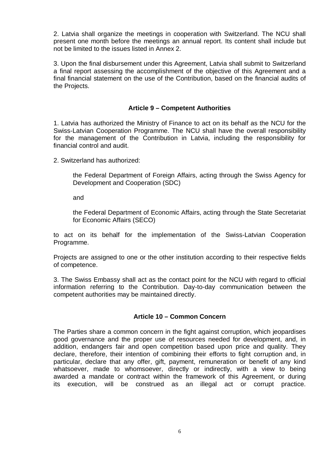2. Latvia shall organize the meetings in cooperation with Switzerland. The NCU shall present one month before the meetings an annual report. Its content shall include but not be limited to the issues listed in Annex 2.

3. Upon the final disbursement under this Agreement, Latvia shall submit to Switzerland a final report assessing the accomplishment of the objective of this Agreement and a final financial statement on the use of the Contribution, based on the financial audits of the Projects.

#### **Article 9 – Competent Authorities**

1. Latvia has authorized the Ministry of Finance to act on its behalf as the NCU for the Swiss-Latvian Cooperation Programme. The NCU shall have the overall responsibility for the management of the Contribution in Latvia, including the responsibility for financial control and audit.

2. Switzerland has authorized:

the Federal Department of Foreign Affairs, acting through the Swiss Agency for Development and Cooperation (SDC)

and

the Federal Department of Economic Affairs, acting through the State Secretariat for Economic Affairs (SECO)

to act on its behalf for the implementation of the Swiss-Latvian Cooperation Programme.

Projects are assigned to one or the other institution according to their respective fields of competence.

3. The Swiss Embassy shall act as the contact point for the NCU with regard to official information referring to the Contribution. Day-to-day communication between the competent authorities may be maintained directly.

#### **Article 10 – Common Concern**

The Parties share a common concern in the fight against corruption, which jeopardises good governance and the proper use of resources needed for development, and, in addition, endangers fair and open competition based upon price and quality. They declare, therefore, their intention of combining their efforts to fight corruption and, in particular, declare that any offer, gift, payment, remuneration or benefit of any kind whatsoever, made to whomsoever, directly or indirectly, with a view to being awarded a mandate or contract within the framework of this Agreement, or during its execution, will be construed as an illegal act or corrupt practice.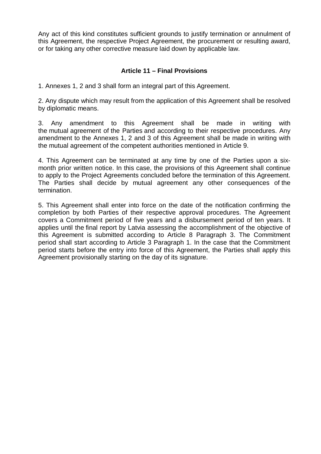Any act of this kind constitutes sufficient grounds to justify termination or annulment of this Agreement, the respective Project Agreement, the procurement or resulting award, or for taking any other corrective measure laid down by applicable law.

#### **Article 11 – Final Provisions**

1. Annexes 1, 2 and 3 shall form an integral part of this Agreement.

2. Any dispute which may result from the application of this Agreement shall be resolved by diplomatic means.

3. Any amendment to this Agreement shall be made in writing with the mutual agreement of the Parties and according to their respective procedures. Any amendment to the Annexes 1, 2 and 3 of this Agreement shall be made in writing with the mutual agreement of the competent authorities mentioned in Article 9.

4. This Agreement can be terminated at any time by one of the Parties upon a sixmonth prior written notice. In this case, the provisions of this Agreement shall continue to apply to the Project Agreements concluded before the termination of this Agreement. The Parties shall decide by mutual agreement any other consequences of the termination.

5. This Agreement shall enter into force on the date of the notification confirming the completion by both Parties of their respective approval procedures. The Agreement covers a Commitment period of five years and a disbursement period of ten years. It applies until the final report by Latvia assessing the accomplishment of the objective of this Agreement is submitted according to Article 8 Paragraph 3. The Commitment period shall start according to Article 3 Paragraph 1. In the case that the Commitment period starts before the entry into force of this Agreement, the Parties shall apply this Agreement provisionally starting on the day of its signature.